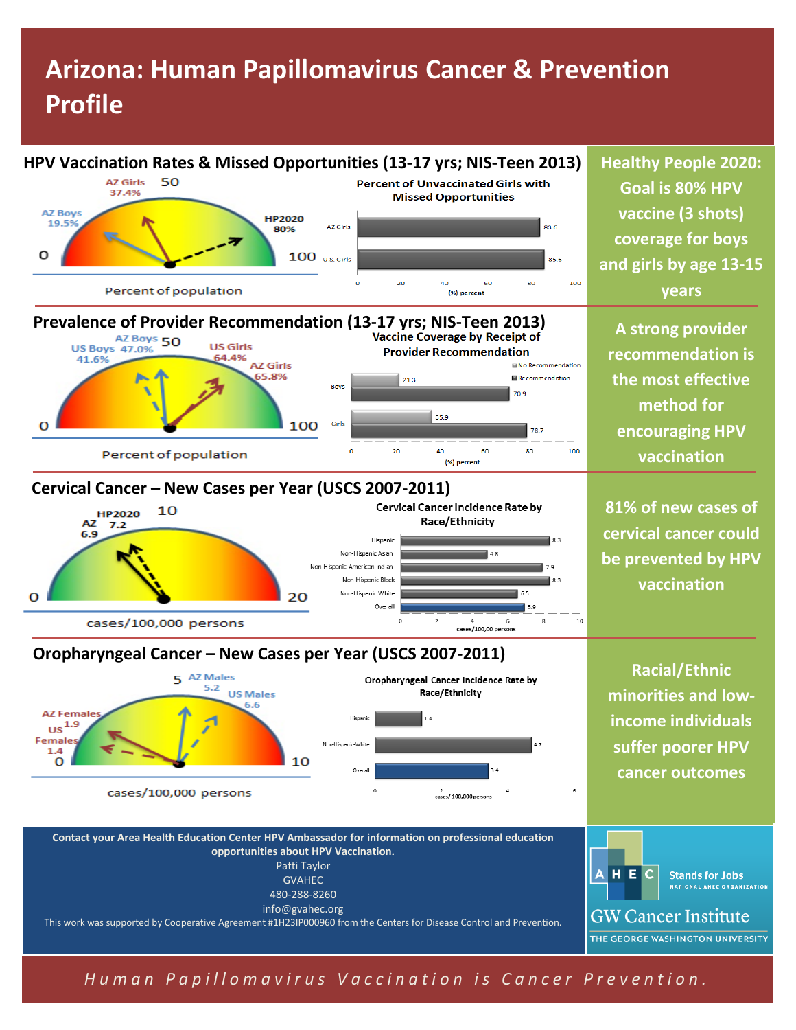# **Arizona: Human Papillomavirus Cancer & Prevention Profile**



*Human Papillomavirus Vaccination is Cancer Prevention.*